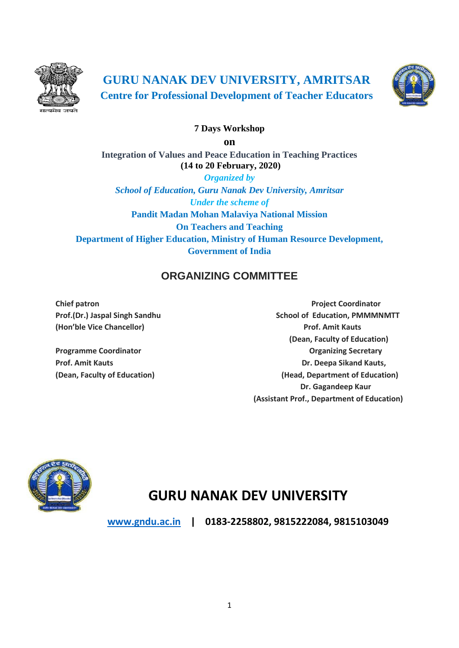

**GURU NANAK DEV UNIVERSITY, AMRITSAR Centre for Professional Development of Teacher Educators**



## **7 Days Workshop**

**on**

**Integration of Values and Peace Education in Teaching Practices (14 to 20 February, 2020)**

*Organized by School of Education, Guru Nanak Dev University, Amritsar Under the scheme of* **Pandit Madan Mohan Malaviya National Mission On Teachers and Teaching Department of Higher Education, Ministry of Human Resource Development, Government of India**

# **ORGANIZING COMMITTEE**

**(Hon'ble Vice Chancellor) Prof. Amit Kauts**

**Chief patron Chief patron Project Coordinator** Prof.(Dr.) Jaspal Singh Sandhu School of Education, PMMMNMTT  **(Dean, Faculty of Education) Programme Coordinator Contracts Contracts and Contracts Contracts Contracts Contracts Contracts Contracts Contracts Contracts Contracts Contracts Contracts Contracts Contracts Contracts Contracts Contracts Contracts Contr Prof. Amit Kauts Dr. Deepa Sikand Kauts, (Dean, Faculty of Education) (Head, Department of Education) Dr. Gagandeep Kaur (Assistant Prof., Department of Education)**



# **GURU NANAK DEV UNIVERSITY**

**[www.gndu.ac.in](http://www.gndu.ac.in/) | 0183-2258802, 9815222084, 9815103049**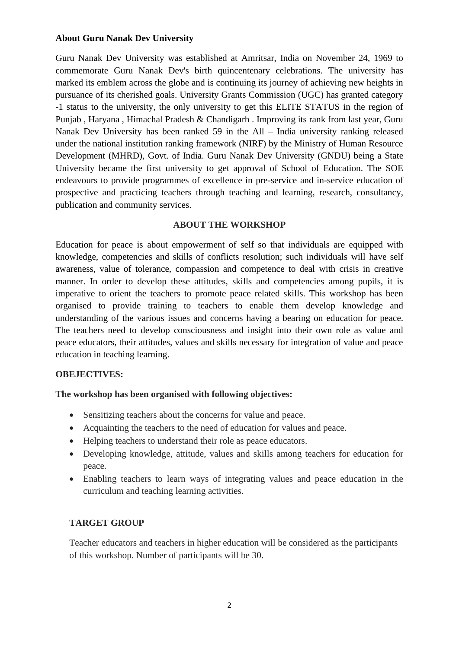#### **About Guru Nanak Dev University**

Guru Nanak Dev University was established at Amritsar, India on November 24, 1969 to commemorate Guru Nanak Dev's birth quincentenary celebrations. The university has marked its emblem across the globe and is continuing its journey of achieving new heights in pursuance of its cherished goals. University Grants Commission (UGC) has granted category -1 status to the university, the only university to get this ELITE STATUS in the region of Punjab , Haryana , Himachal Pradesh & Chandigarh . Improving its rank from last year, Guru Nanak Dev University has been ranked 59 in the All – India university ranking released under the national institution ranking framework (NIRF) by the Ministry of Human Resource Development (MHRD), Govt. of India. Guru Nanak Dev University (GNDU) being a State University became the first university to get approval of School of Education. The SOE endeavours to provide programmes of excellence in pre-service and in-service education of prospective and practicing teachers through teaching and learning, research, consultancy, publication and community services.

#### **ABOUT THE WORKSHOP**

Education for peace is about empowerment of self so that individuals are equipped with knowledge, competencies and skills of conflicts resolution; such individuals will have self awareness, value of tolerance, compassion and competence to deal with crisis in creative manner. In order to develop these attitudes, skills and competencies among pupils, it is imperative to orient the teachers to promote peace related skills. This workshop has been organised to provide training to teachers to enable them develop knowledge and understanding of the various issues and concerns having a bearing on education for peace. The teachers need to develop consciousness and insight into their own role as value and peace educators, their attitudes, values and skills necessary for integration of value and peace education in teaching learning.

#### **OBEJECTIVES:**

#### **The workshop has been organised with following objectives:**

- Sensitizing teachers about the concerns for value and peace.
- Acquainting the teachers to the need of education for values and peace.
- Helping teachers to understand their role as peace educators.
- Developing knowledge, attitude, values and skills among teachers for education for peace.
- Enabling teachers to learn ways of integrating values and peace education in the curriculum and teaching learning activities.

#### **TARGET GROUP**

Teacher educators and teachers in higher education will be considered as the participants of this workshop. Number of participants will be 30.